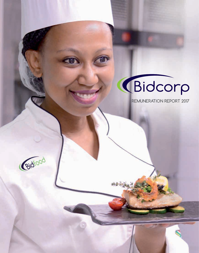# **(Bidcorp**

**REMUNERATION REPORT 2017**

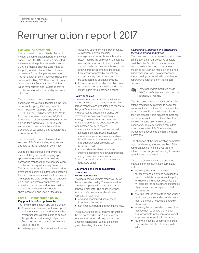#### Background statement

The remuneration committee is pleased to present the remuneration report for the year ended June 30 2017. Since we presented the remuneration policy to shareholders in 2016, no material changes were made to the policy or its implementation. Likewise no material future changes are envisaged. The remuneration committee considered the impact of the King IV™ Report on Corporate Governance for South African 2016 (King IV) on remuneration and is satisfied that its policies are aligned with sound governance principles.

The remuneration committee also considered the voting outcomes on the 2016 remuneration policy (Ordinary resolution Part 1: Policy on basic pay and benefits: 98,9% in favour; Ordinary resolution Part 2: Policy on short-term incentives: 96,1% in favour; and Ordinary resolution Part 3: Policy on long-term incentives: 71,6% in favour) and as a result we have enhanced the disclosure of our variable pay structures and long-term incentives.

The remuneration committee uses the services of PwC as standing independent advisers to the remuneration committee.

Due to the decentralised and diversified nature of the group, and the geographic spread of its operations, the individual companies manage their own remuneration policies according to local requirements. The group remuneration committee provides oversight on senior executive remuneration in the subsidiaries and share incentive awards. This report therefore details the remuneration policy and implementation thereof for executive directors as well as fees paid to non-executive directors and details of the share incentive plans used by the group.

#### Part 1 – Remuneration policy Key principles of our philosophy

The key principles that shape our policy are:

- A critical success factor of the group is its ability to attract, retain and motivate the entrepreneurial talent required to achieve its operational and strategic objectives. Both short and long-term incentives are used to this end.
- Delivery-specific short-term incentives are

viewed as strong drivers of performance. A significant portion of senior management's reward is variable and is determined by the achievement of realistic profit and returns targets together with an individual's personal contribution to the growth and development of the group. Only when warranted by exceptional circumstances, special bonuses may be considered as additional awards.

■ Long-term incentives align the objectives of management, shareholders and other stakeholders for a sustainable period.

#### Policy principles

The remuneration committee functions as a subcommittee of the board in terms of an agreed mandate and evaluates and monitors the group's remuneration philosophy and practices to ensure consistency with governance principles and corporate strategy. The remuneration committee further implements the board-approved remuneration policy to ensure:

- 1. salary structures and policies, as well as cash and share-based incentives, motivate superior performance and are linked to realistic performance objectives that support sustainable long-term business growth;
- 2. stakeholders are able to make an informed assessment of reward practices and governance processes; and
- 3. compliance with all applicable laws and regulatory codes.

### Governance and the remuneration committee

### *Board responsibility*

The board carries ultimate responsibility for the remuneration policy. The remuneration committee operates in terms of a boardapproved mandate. The board will, when required, refer matters for shareholder approval, for example:

- new and/or amended share-based incentive schemes; and
- non-executive board and committee fees.

The remuneration policy and implementation thereof contained in part 1 and 2 of this remuneration report will be put to a nonbinding shareholders' vote at the annual general meeting of shareholders.

#### *Composition, mandate and attendance for remuneration committee*

The members of the remuneration committee are independent non-executive directors as defined by King IV. The remuneration committee is scheduled to hold three meetings per year but meets on an ad hoc basis when required. The attendance for these meetings is contained in the directors' report (remuneration committee report section).



*Directors' report within the online 2017 annual integrated report on the company's website.*

The chief executive and chief financial officer attend meetings by invitation to assist the remuneration committee with the execution of its mandate. No executive participates in the vote process nor is present at meetings of the remuneration committee when his/ her own remuneration is discussed or considered. The remuneration committee uses the services of PwC as standing independent advisers to the remuneration committee.

The chairman of the remuneration committee or, in his absence, another member of the remuneration committee is required to attend the annual general meeting to answer questions on remuneration.

The terms of reference as set out in the mandate of the remuneration committee include:

- reviewing the group remuneration philosophy and policy and assisting the board to establish a remuneration policy for directors and senior executives that will promote the achievement of strategic objectives and encourage individual performance;
- ensuring that the mix of fixed and variable pay in cash, shares and other elements meet the group's needs and strategic objectives;
- reviewing the remuneration of executive management to ensure that it is fair and responsible in the context of overall employee remuneration in the group;
- reviewing incentive schemes to ensure continued contribution to shareholder value;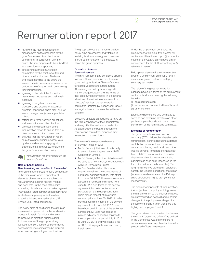2 Remuneration report 2017 **Bid Corporation Limited**

### Remuneration report 2017

- reviewing the recommendations of management on fee proposals for the group's non-executive directors and determining, in conjunction with the board, the final proposals to be submitted to shareholders for approval;
- determining all the remuneration parameters for the chief executive and other executive directors. Reviewing and recommending to the board the relevant criteria necessary to measure the performance of executives in determining their remuneration;
- agreeing to the principles for senior management increases and their cash incentives;
- agreeing to long-term incentive allocations and awards for executive directors (conditional share plan) and for senior management (share appreciation rights);
- settling long-term incentive allocations and awards for executive directors;
- overseeing the preparation of the remuneration report to ensure that it is clear, concise and transparent; and
- ensuring that the remuneration report be put to a non-binding advisory vote by shareholders and engaging with shareholders and other stakeholders on the group's remuneration policy.

*Remuneration report available on the company's website.*

#### Role of benchmarking *Benchmarking and position in the market*

To ensure that the group remains competitive in the markets in which it operates, all elements of remuneration are subject to regular reviews against relevant market and peer data. In the case of the chief executive, his salary is benchmarked against international listed companies (predominantly Australian companies) while the other executive is benchmarked against JSE Limited (JSE) listed companies.

The policy aims at positioning the group as a preferred employer within the foodservice industry. To retain flexibility and ensure fairness when directing human capital to those areas of the group requiring focused attention, subjective performance assessments may sometimes be required when evaluating employee contributions.

The group believes that its remuneration policy plays an essential and vital role in realising business strategy and therefore should be competitive in the markets in which the group operates.

#### Executive directors *Terms of service*

The minimum terms and conditions applied to South African executive directors are governed by legislation. Terms of service for executive directors outside South Africa are governed by labour legislation in their local jurisdiction and the terms of their employment contracts. In exceptional situations of termination of an executive directors' services, the remuneration committee (assisted by independent labour law legal advisers) oversees the settlement of terms.

Executive directors are required to retire on the third anniversary of their appointment and may offer themselves for re-election. As appropriate, the board, through the nominations committee, proposes their re-election to shareholders.

The terms of the executive director's employment is as follows:

- Mr BL Berson (chief executive) is party to an employment agreement with Bid Corporation Limited.
- Mr DE Cleasby (chief financial officer) will be party to a new employment agreement with Bid Corporation Limited.
- Mr B Joffe relinquished his role as executive chairman, in consequence of a mutually agreed transition, with effect from June 30 2017. His executive service agreement has been terminated from June 30 2017. In terms of the service agreement, Mr Joffe continues as a participant in the Bidcorp conditional share plan in respect of his awards received prior to June 30 2017. All other benefits accruing in terms of the service agreement up to June 30 2017 have been honoured. In terms of the settlement agreement, Mr Joffe has agreed to provide advisory consulting services to the company for the period July 1 2017 to June 30 2018 and will receive a fee of R4,0 million payable in equal monthly instalments.

Under the employment contracts, the employment of an executive director will continue until terminated upon (i) six months' notice for the CE and an intended similar notice period for the CFO respectively or (ii) retirement thereof.

Bidcorp can also terminate the executive director's employment summarily for any reason recognised by law as justifying summary termination.

The value of the gross remuneration package payable in terms of the employment contracts is allocated among the following benefits:

- (i) basic remuneration;
- (ii) retirement and or medical benefits; and (iii) other benefits.

Executive directors are only permitted to serve as non-executive directors on other public company boards with the express permission of the nominations committee.

#### Elements of remuneration

The group operates a total cost-tocompany (CTC) philosophy whereby cash remuneration, benefits (including a defined contribution retirement fund or superannuation scheme, medical aid and other insured benefits) form part of employees' fixed total CTC remuneration. Executive directors and senior management also participate in short-term incentives (in the form of a performance bonus plan). Two long-term incentive plans are in operation, namely the Bidcorp conditional share plan (for executive directors) and the Bidcorp share appreciation rights plan (for senior management).

The different components of remuneration, their objectives, the policy which governs them and their link to the business strategy are summarised on pages 3 and 4. Where changes to the policy are envisaged for the following financial year, these are also highlighted on pages 3 and 4.

The group views the executive directors as the current "prescribed officers" as defined in the Companies Act and therefore no separate remuneration policy disclosure for prescribed officers is necessary.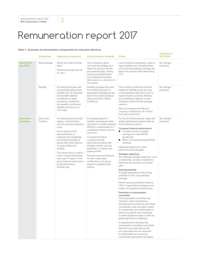#### Table 1: Summary of remuneration components for executive directors

|                                        | <b>Component</b>        | <b>Objective and practice</b>                                                                                                                                                                                                                                                                                                                                                                                                              | Link to business strategy                                                                                                                                                                                                                                                                                                                                                                                                                         | <b>Policy</b>                                                                                                                                                                                                                                                                                                                                                                                                                                                                                                                                                                                                                                                                                                                                                                                                                                                                                                                                                                                                                                                                                                                                                                                                                                                                                                         | <b>Changes for</b><br>2017/2018 |
|----------------------------------------|-------------------------|--------------------------------------------------------------------------------------------------------------------------------------------------------------------------------------------------------------------------------------------------------------------------------------------------------------------------------------------------------------------------------------------------------------------------------------------|---------------------------------------------------------------------------------------------------------------------------------------------------------------------------------------------------------------------------------------------------------------------------------------------------------------------------------------------------------------------------------------------------------------------------------------------------|-----------------------------------------------------------------------------------------------------------------------------------------------------------------------------------------------------------------------------------------------------------------------------------------------------------------------------------------------------------------------------------------------------------------------------------------------------------------------------------------------------------------------------------------------------------------------------------------------------------------------------------------------------------------------------------------------------------------------------------------------------------------------------------------------------------------------------------------------------------------------------------------------------------------------------------------------------------------------------------------------------------------------------------------------------------------------------------------------------------------------------------------------------------------------------------------------------------------------------------------------------------------------------------------------------------------------|---------------------------------|
| Guaranteed<br>pay (CTC)                | Base package            | Attract and retain the best<br>talent.<br>Reviewed annually and set<br>on July 1.                                                                                                                                                                                                                                                                                                                                                          | This component aligns<br>with business strategy as it<br>takes into account internal<br>and external equity. Hereby,<br>ensuring competitiveness<br>and rewarding individuals<br>fairly based on a similar job in<br>the market.                                                                                                                                                                                                                  | Level of skill and experience, scope of<br>responsibilities and competitiveness<br>of the total remuneration package are<br>taken into account when determining<br>CTC.                                                                                                                                                                                                                                                                                                                                                                                                                                                                                                                                                                                                                                                                                                                                                                                                                                                                                                                                                                                                                                                                                                                                               | No changes<br>proposed.         |
|                                        | <b>Benefits</b>         | Providing employees with<br>contractually agreed basic<br>benefits such as retirement<br>fund benefits (defined<br>contribution or super-<br>annuation), medical aid,<br>risk benefits, and life and<br>disability insurance on a<br>CTC basis.                                                                                                                                                                                            | Benefits recognise the need<br>for a holistic approach to<br>guaranteed package and are<br>part of the overall employee<br>value proposition offered<br>by Bidcorp.                                                                                                                                                                                                                                                                               | The company contributes towards<br>retirement benefits as per the rules<br>of the respective retirement funds or<br>superannuation schemes. Medical<br>aid contributions depend on each<br>individual's needs and the package<br>selection.<br>Risk and insurance benefits are<br>company contributions, all of which<br>form part of total CTC.                                                                                                                                                                                                                                                                                                                                                                                                                                                                                                                                                                                                                                                                                                                                                                                                                                                                                                                                                                      | No changes<br>proposed.         |
| <b>Short-term</b><br><b>incentives</b> | Short-term<br>incentive | To motivate and incentivise<br>delivery of performance<br>over the one-year operating<br>cycle.<br>Bonus levels and the<br>appropriateness of<br>measures and weightings<br>are reviewed annually to<br>ensure that these continue<br>to support Bidcorp's<br>strategy.<br>The annual bonus is paid in<br>cash in August/September<br>each year in respect of the<br>group financial performance<br>during the previous<br>financial year. | Encourages growth in<br>headline earnings per share<br>and return on funds employed<br>(ROFE) for shareholders in a<br>sustainable manner over the<br>short term.<br>Combines the above<br>company financial<br>performance metrics with<br>strategic metrics, such as<br>leadership, to ensure well-<br>balanced KPIs.<br>Rewards executive directors<br>for their measurable<br>contribution to the group<br>based on predetermined<br>metrics. | For the 2018 financial year, target and<br>stretch performance targets were set<br>for the following metrics:<br>Company financial performance<br>Constant currency headline<br>earnings per share (HEPS)<br>growth and<br>Return on funds employed (ROFE)<br>achieved.<br>Measured against prior year's<br>performance and budgets.<br>Strategic objectives<br>Non-financial, strategic objectives, such<br>as leadership, are also considered to<br>determine the quantum of bonuses<br>paid.<br>Earning potential<br>At target performance, the earning<br>potential is 100% of guaranteed<br>package.<br>Stretch earning potential is limited to<br>160% of guaranteed package and is<br>subject to exceptional performance.<br>Discretion of remuneration<br>committee<br>The remuneration committee has<br>discretion, when warranted by<br>exceptional circumstances and where<br>considerable value has been created<br>for shareholders and stakeholders of<br>Bidcorp by specific key employees,<br>to award special bonuses or other ex-<br>gratia payments to individuals.<br>In exercising this discretion the<br>remuneration committee must satisfy<br>itself that such payments are fair<br>and reasonable and are disclosed<br>to shareholders as required by<br>remuneration governance principles. | No changes<br>proposed.         |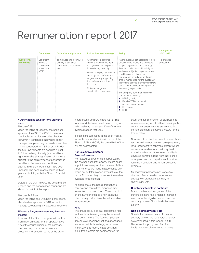|                                | <b>Component</b>                                                 | <b>Objective and practice</b>                                                              | <b>Link to business strategy</b>                                                                                                                                                                                                                                                                                     | <b>Policy</b>                                                                                                                                                                                                                                                                                                                                                                                                                                                                                                                                                                          | <b>Changes for</b><br>2017/2018 |
|--------------------------------|------------------------------------------------------------------|--------------------------------------------------------------------------------------------|----------------------------------------------------------------------------------------------------------------------------------------------------------------------------------------------------------------------------------------------------------------------------------------------------------------------|----------------------------------------------------------------------------------------------------------------------------------------------------------------------------------------------------------------------------------------------------------------------------------------------------------------------------------------------------------------------------------------------------------------------------------------------------------------------------------------------------------------------------------------------------------------------------------------|---------------------------------|
| Long-term<br><b>incentives</b> | Long-term<br>$incentive -$<br>conditional<br>share plan<br>(CSP) | To motivate and incentivise<br>delivery of sustained<br>performance over the long<br>term. | Alignment of executives'<br>interests with shareholders<br>through conditional rights to<br>future delivery of equity.<br>Vesting of equity instruments<br>are subject to performance<br>targets, thereby supporting<br>the performance culture of<br>the group.<br>Motivates long-term,<br>sustainable performance. | Award levels are set according to best<br>practice benchmarks and to ensure<br>support of group business strategy.<br>Awards consist of conditional rights<br>to shares, subjected to performance<br>conditions over a three-year<br>performance period and continued<br>employment period for the duration of<br>the vesting periods of three years (75%)<br>of the award) and four years (25% of<br>the award) respectively.<br>The company performance metrics<br>comprise the following:<br>HEPS growth;<br>Relative TSR as external<br>performance measure;<br>ROFE: and<br>KPIs. | No changes<br>proposed.         |

#### *Further details on long-term incentive plans*

#### *Bidcorp CSP*

Upon the listing of Bidcorp, shareholders approved the CSP. The CSP to date was only implemented for executive directors. However, it is intended that where senior management perform group-wide roles, they will be considered for CSP awards. Under the CSP, participants are awarded a right to future delivery of equity (ie a conditional right to receive shares). Vesting of shares is subject to the achievement of performance conditions. Performance conditions, each with different weightings, have been imposed. The performance period is three years, coinciding with the Bidcorp financial year.

Details of the 2017 award, the performance periods and the performance conditions are shown in part 2 of this report.

#### *Bidcorp SAR Plan*

Upon the listing and unbundling of Bidcorp, shareholders approved a SAR for senior managers, excluding any executive directors.

#### *Bidcorp's long-term incentive plans and dilution*

In terms of the Bidcorp long-term incentive plan rules, an overall limit of approximately 5% of the issued shares of the company has been imposed when shares are allocated and issued in terms of the plans,

incorporating both SARs and CSPs. The total award that may be allocated to any one individual may not exceed 10% of the total awards made in that year.

If shares are purchased in the open market for settlement of allocations in terms of the Bidcorp SAR and CSP, the overall limit of 5% will not be impacted.

#### Non-executive directors *Terms of service*

Non-executive directors are appointed by the shareholders at the AGM. Interim board appointments are permitted between AGMs. Appointments are made in accordance with group policy. Interim appointees retire at the next AGM, when they may make themselves available for re-election.

As appropriate, the board, through the nominations committee, proposes their re-election to shareholders. There is no limit on the number of times a non-executive director may make him or herself available for re-election.

#### *Fees*

The group policy is to pay competitive fees for the role while recognising the required time commitment. The fees comprise an annual retainer component and attendance fee for scheduled meetings, as tabulated in part 2 of this report. In addition, nonexecutive directors are compensated for

travel and subsistence on official business where necessary and to attend meetings. No contractual arrangements are entered into to compensate non-executive directors for the loss of office.

Non-executive directors do not receive shortterm incentives nor do they participate in any long-term incentive schemes, except where non-executive directors previously held executive office, and they remain entitled to unvested benefits arising from their period of employment. Bidcorp does not provide retirement contributions to non-executive directors.

Management proposes non-executive directors' fees (based on independent advice) to shareholders annually for shareholder vote.

#### Directors' interests in contracts

During the financial year, none of the current directors had a material interest in any contract of significance to which the company or any of its subsidiaries were a party.

#### Non-binding advisory vote

Shareholders are requested to cast an advisory vote on the remuneration policy as summarised in this report: Part 1: Remuneration policy; and Part 2 – Implementation of remuneration policy.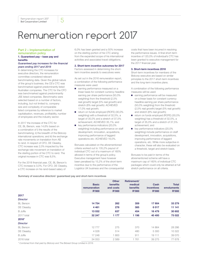#### Part 2 – Implementation of remuneration policy

### 1. Guaranteed pay – base pay and benefits

#### *Guaranteed pay increases for the financial years ending 2017 and 2018*

In determining the CTC increases for executive directors, the remuneration committee considered relevant benchmarking data. Given the global nature of the group's business, the CE's CTC was benchmarked against predominantly listed Australian companies. The CTC for the CFO was benchmarked against predominantly JSE listed companies. Benchmarks were selected based on a number of factors, including, but not limited to, company size and complexity of comparable listed companies by reference to market capitalisation, revenues, profitability, number of employees and the industry sector.

In 2017 the increase of the CTC for CE, BL Berson, was 14,6% based on a combination of i) the results of the benchmarking; ii) the breadth of the Bidcorp international operations; and iii) the exchange rate movements on translation from A\$ to rand. In respect of CFO, DE Cleasby, CTC increase was 2,0% impacted by the exchange rate movement on translation of the sterling portion of his CTC to rand. The original increase in CTC was 8,5%.

For the 2018 financial year, CE, BL Berson's CTC increase is 3,0%. For CFO, DE Cleasby, a CTC increase on his rand-based salary of

6,0% has been granted and a 50% increase on the sterling portion of his CTC arising from the expanded scope of his international activities and associated travel obligations.

#### 2. Short-term incentive outcomes for 2017

Factors assessed in determining the shortterm incentive awards to executives were:

As set out in the 2016 remuneration report, a combination of the following performance measures were used:

- earning performance measured on a linear basis for constant currency headline earning per share performance (50,0% weighting) from the threshold (2,5% real growth) target (5% real growth) and stretch (8% real growth): ACHIEVED 17,0% real growth;
- return on funds employed (ROFE) (30,0% weighting) with a threshold of 32,5%, a target of 35,0% and a stretch of 37,5% achievement; ACHIEVED 35,1%; and
- key performance indicators (20,0% weighting) including performance on staff development, innovation, acquisitions, improving performance of laggard operations etc: ACHIEVED 16,0%.

Bonuses calculated on the aforementioned criteria worked out to 135,2% payout of individual CTC out of a maximum of 160% allowed in terms of the group's policy. Executive management have however been penalised by 15,2% of the short-term incentive due to the performance of the Logistics UK business and the consequential costs that have been incurred in resolving the performance issues. A final short-term incentive of 120,0% of individual's CTC has been granted to executive management for the 2017 financial year.

#### 3. Short-term incentives 2018

Short-term incentives for members of the Bidcorp executive are based on similar principles to the 2017 short-term incentives and the long-term incentive plans.

A combination of the following performance measures will be used:

- earning performance will be measured on a linear basis for constant currency headline earning per share performance (50,0% weighting) from the threshold (2,5% real growth) target (5% real growth) and stretch (8% real growth);
- return on funds employed (ROFE) (30,0% weighting) has a threshold of 32,5%, a target of 35,0% and a stretch of 37,5% achievement; and
- key performance indicators (20,0% weighting) include performance on staff development, innovation, acquisitions, improving performance of laggard operations, etc. While more subjective in character, these will also be evaluated on a threshold, target and stretch basis.

Bonuses to be paid in terms of the aforementioned scheme will have a maximum cap of 160% of individual CTC packages which could only be attained at full stretch performance on all criteria.

#### Summary of executive directors' guaranteed pay and short-term incentives

|                  | <b>Basic</b><br>remuneration<br><b>R'000</b> | <b>Other</b><br>benefits<br>and costs<br><b>R'000</b> | Retirement/<br>medical<br>benefits<br><b>R'000</b> | Cash<br><b>incentives</b><br><b>R'000</b> | <b>Total</b><br>emoluments<br><b>R'000</b> |
|------------------|----------------------------------------------|-------------------------------------------------------|----------------------------------------------------|-------------------------------------------|--------------------------------------------|
| 2017             |                                              |                                                       |                                                    |                                           |                                            |
| <b>Director</b>  |                                              |                                                       |                                                    |                                           |                                            |
| <b>BL</b> Berson | 14754                                        | 262                                                   | 359                                                | 17 904                                    | 33 279                                     |
| DE Cleasby       | 4 4 6 1                                      | 278                                                   | 385                                                | 6017                                      | 11 141                                     |
| <b>B</b> Joffe   | 13 0 32                                      | 637                                                   | 454                                                | 16 479                                    | 30 602                                     |
| 2017 total       | 32 247                                       | 1 177                                                 | 1 1 9 8                                            | 40 400                                    | 75 022                                     |
| 2016*            |                                              |                                                       |                                                    |                                           |                                            |
| <b>Director</b>  |                                              |                                                       |                                                    |                                           |                                            |
| <b>BL</b> Berson | 12777                                        | 275                                                   | 370                                                | 14 8 64                                   | 28 2 8 6                                   |
| DE Cleasby       | 4 0 28                                       | 514                                                   | 480                                                | 5 300                                     | 10 322                                     |
| <b>B</b> Joffe   | 17 248                                       | 1800                                                  | 911                                                | 19 111                                    | 39 0 70                                    |
| 2016 total       | 34 053                                       | 2 5 8 9                                               | 1761                                               | 39 275                                    | 77678                                      |

*\* Combined from that paid by Bidcorp and The Bidvest Group Limited in 2016.*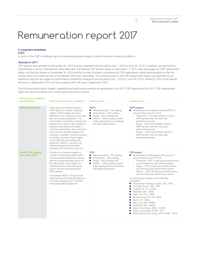#### 4. Long-term incentives

#### *CSPs*

In terms of the CSP, conditional rights to shares are granted subject to performance and vesting conditions.

#### *Awarded in 2017*

CSP awards were granted on November 30 2016 and are measured over the period July 1 2016 to June 30 2019. In addition, as approved by shareholders in terms of the Bidvest unbundling plan, the Bidvest CSP awards made on December 11 2015 were exchanged for CSP replacement rights over Bidcorp shares on November 30 2016 and the number of shares comprising the CSP replacement rights were adjusted so that the market value is the same as that of the Bidvest CSP's pre-unbundling. The vesting period for the CSP replacement rights was extended for an additional year and are subject to performance conditions measured over the period July 1 2016 to June 30 2019, vesting of 75% of the awards will occur in September 2019 and the remaining 25% will vest in September 2020.

The following performance targets, weighting and performance periods are applicable to the 2017 CSP awards and the 2017 CSP replacement rights and are to be tested over a three-year performance period:

| <b>Performance conditions</b><br>and weighting  | Detail of performance conditions                                                                                                                                                                                                                                                                                                                                                                                                                                                                                                                                                                                                           | <b>Vesting profile</b>                                                                                                                                                                                                                             | <b>Actual targets</b>                                                                                                                                                                                                                                                                                                                                                                                                                                                                                                                                                                                                                                                                                                                                                                                                          |
|-------------------------------------------------|--------------------------------------------------------------------------------------------------------------------------------------------------------------------------------------------------------------------------------------------------------------------------------------------------------------------------------------------------------------------------------------------------------------------------------------------------------------------------------------------------------------------------------------------------------------------------------------------------------------------------------------------|----------------------------------------------------------------------------------------------------------------------------------------------------------------------------------------------------------------------------------------------------|--------------------------------------------------------------------------------------------------------------------------------------------------------------------------------------------------------------------------------------------------------------------------------------------------------------------------------------------------------------------------------------------------------------------------------------------------------------------------------------------------------------------------------------------------------------------------------------------------------------------------------------------------------------------------------------------------------------------------------------------------------------------------------------------------------------------------------|
| HEPS growth (50%)                               | Three-year real constant currency<br>HEPS growth in excess of Bidcorp<br>inflation. HEPS targets are set by<br>reference to the company's three-year<br>plan and market expectation. The<br>remuneration committee considers the<br>targets to be critical to the company's<br>long-term success and its ability to<br>maximise shareholder value, and to be<br>in line with the strategic goals of the<br>company. In addition, the remuneration<br>committee considers these targets<br>to be sufficiently demanding with<br>significant "stretch", ensuring only<br>outstanding performance will be<br>rewarded with a maximum pay-out. | HEPS:<br>$\blacksquare$ Below threshold $-0\%$ vesting;<br>$\blacksquare$ At threshold - 30% vesting;<br>Target - 60% vesting; and<br>a a<br>Stretch - 100% vesting, where<br>linear vesting will occur between<br>the levels stated above.        | <b>HEPS</b> targets:<br>■ Achievement of constant currency HEPS for<br>period ending June 30 2019:<br>- Threshold - 2,5% real constant currency<br>HEPS growth over the three-year<br>performance period<br>- Target - 5,0% real constant currency<br>HEPS growth over the three-year<br>performance period<br>- Stretch - 8,0% real constant currency<br>HEPS growth over the three-year<br>performance period                                                                                                                                                                                                                                                                                                                                                                                                                |
| <b>Relative TSR against</b><br>peer group (20%) | The group is measured against a<br>number of appropriate peers within<br>the international foodservice industry<br>and the comparable listed peers on<br>the JSE Limited. Accordingly, the<br>outperformance of the peer group<br>is felt to be the most appropriate<br>TSR measure.<br>The average ROFE of the group as<br>measured over the financial period on<br>a monthly average over 15 months<br>measured against targets set.                                                                                                                                                                                                     | TSR:<br>$\blacksquare$ Below threshold $-0\%$ vesting;<br>$\blacksquare$ At threshold - 30% vesting;<br>$\blacksquare$ Target – 60% vesting; and<br>Stretch - 100% vesting, where<br>linear vesting will occur between<br>the levels stated above. | TSR targets:<br>■ Achievement of TSR against peer group for<br>period ending June 30 2019:<br>- Threshold - 80% of peer group performance<br>over the three-year performance period<br>- Target - 100% of peer group performance<br>over the three-year performance period<br>- Stretch - 120% of peer group performance<br>over the three-year performance period<br>The peer group consists of the following<br>companies:<br>■ Woolworths Holdings Limited: JSE - WHL<br>The Spar Group: JSE - SPP<br>Unilever Plc: LN - ULVR<br>п<br>Metcash: ASX - MTS<br>ш<br>Metro AG: ETR - MEO<br>Booker Group Plc: LN - BOK<br>п<br>Bunzl: LN - BNZL<br>ш<br>Marr s.p.A: IM - MARR<br>ш<br>Nestle SA: SIX - NESN<br>Sligro Food Group: AMS - SLIGR<br>ш<br>Sysco Corporation: NYSE - SYY<br>Performance Food Group: PFG: NYSE - PFGL |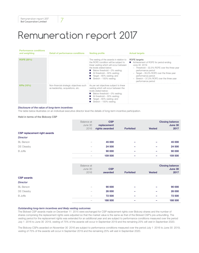### Performance conditions

| and weighting     | Detail of performance conditions                                             | <b>Vesting profile</b>                                                                                                                                                                                                                                                                                                                         | <b>Actual targets</b>                                                                                                                                                                                                                                                                         |
|-------------------|------------------------------------------------------------------------------|------------------------------------------------------------------------------------------------------------------------------------------------------------------------------------------------------------------------------------------------------------------------------------------------------------------------------------------------|-----------------------------------------------------------------------------------------------------------------------------------------------------------------------------------------------------------------------------------------------------------------------------------------------|
| <b>ROFE (20%)</b> |                                                                              | The vesting of the awards in relation to<br>the ROFE condition will be subject to<br>linear vesting which will occur between<br>the levels stated below:<br>$\blacksquare$ Below threshold $-0\%$ vesting;<br>$\blacksquare$ At threshold - 30% vesting;<br>$\blacksquare$ Target – 60% vesting; and<br>$\blacksquare$ Stretch – 100% vesting. | <b>ROFE</b> targets:<br>■ Achievement of ROFE for period ending<br>June 30 2019:<br>- Threshold - 32,5% ROFE over the three-year<br>performance period<br>- Target - 35,0% ROFE over the three-year<br>performance period<br>- Stretch - 37,5% ROFE over the three-year<br>performance period |
| <b>KPIs (10%)</b> | Non-financial strategic objectives such<br>as leadership, acquisitions, etc. | As per set objectives subject to linear<br>vesting which will occur between the<br>levels stated below:<br>$\blacksquare$ Below threshold $-0\%$ vesting;<br>$\blacksquare$ At threshold - 30% vesting;<br>Target – 60% vesting; and<br>Stretch - 100% vesting.                                                                                |                                                                                                                                                                                                                                                                                               |

#### *Disclosure of the value of long-term incentives*

The table below illustrates on an individual executive director level the details of long-term incentive participation.

Held in terms of the Bidcorp CSP

|                              | Balance at<br>June 30<br>2016 | <b>CSP</b><br>replacement<br>rights awarded | <b>Forfeited</b> | <b>Vested</b> | <b>Closing balance</b><br>June 30<br>2017 |
|------------------------------|-------------------------------|---------------------------------------------|------------------|---------------|-------------------------------------------|
| CSP replacement right awards |                               |                                             |                  |               |                                           |
| <b>Director</b>              |                               |                                             |                  |               |                                           |
| <b>BL</b> Berson             |                               | 45 000                                      |                  |               | 45 000                                    |
| DE Cleasby                   |                               | 24 500                                      |                  |               | 24 500                                    |
| <b>B</b> Joffe               |                               | 90 000                                      |                  | -             | 90 000                                    |
|                              | -                             | 159 500                                     | ٠                | -             | 159 500                                   |
|                              |                               |                                             |                  |               |                                           |
|                              | Balance at<br>June 30<br>2016 | <b>CSP</b><br>awarded                       | <b>Forfeited</b> | <b>Vested</b> | <b>Closing balance</b><br>June 30<br>2017 |
| <b>CSP</b> awards            |                               |                                             |                  |               |                                           |
| <b>Director</b>              |                               |                                             |                  |               |                                           |
| <b>BL</b> Berson             |                               | 90 000                                      |                  |               | 90 000                                    |
| DE Cleasby                   |                               | 26 000                                      |                  |               | 26 000                                    |
| <b>B</b> Joffe               |                               | 72 500                                      |                  |               | 72 500                                    |
|                              |                               | 188 500                                     |                  | -             | 188 500                                   |
|                              |                               |                                             |                  |               |                                           |

#### *Outstanding long-term incentives and likely vesting outcomes*

The Bidvest CSP awards made on December 11 2015 were exchanged for CSP replacement rights over Bidcorp shares and the number of shares comprising the replacement rights were adjusted so that the market value is the same as that of the Bidvest CSP's pre-unbundling. The vesting period for the replacement rights was extended for an additional year and are subject to performance conditions measured over the period July 1 2016 to June 30 2019, vesting of 75% of the awards will occur in September 2019 and the remaining 25% will vest in September 2020.

The Bidcorp CSPs awarded on November 30 2016 are subject to performance conditions measured over the period July 1 2016 to June 30 2019, vesting of 75% of the awards will occur in September 2019 and the remaining 25% will vest in September 2020.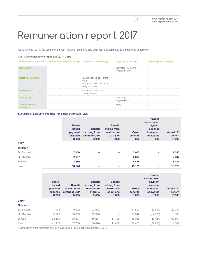As at June 30 2017, the vesting of the CSP replacement rights and 2017 CSPs is estimated to be achieved as follows:

#### 2017 CSP replacement rights and 2017 CSPs

| <b>Performance conditions</b>           | Below threshold (0% vesting Threshold (30% vesting) |                                                                                      | Target (60% vesting)                   | Stretch (100% vesting) |
|-----------------------------------------|-----------------------------------------------------|--------------------------------------------------------------------------------------|----------------------------------------|------------------------|
| <b>HEPS (50%)</b>                       |                                                     |                                                                                      | Estimated HEPS 79,8%<br>Weighted 39,9% |                        |
| Relative TSR (20%)                      |                                                     | Built into fair value of grant<br>value<br>Estimated TSR 49% - thus<br>weighted 9,8% |                                        |                        |
| <b>ROFE (20%)</b>                       |                                                     | Estimated ROFE 49%<br>Weighted 9,8%                                                  |                                        |                        |
| <b>KPIs (10%)</b>                       |                                                     |                                                                                      | Meet target<br>Weighted 6,0%           |                        |
| <b>Total expected</b><br>vesting $(\%)$ |                                                     |                                                                                      | 65,5%                                  |                        |

*Summary of executive directors' long-term incentives (LTIs)*

|                  |              |                          |                          |              | <b>Previous</b> |                   |
|------------------|--------------|--------------------------|--------------------------|--------------|-----------------|-------------------|
|                  |              |                          |                          |              | share-based     |                   |
|                  | Share-       |                          | <b>Benefit</b>           |              | payment         |                   |
|                  | based        | <b>Benefit</b>           | arising from             |              | expense         |                   |
|                  | payment      | arising from             | restructure              | <b>Gross</b> | in respect      | <b>Actual LTI</b> |
|                  | expense      | award of CSP             | of CSPs                  | benefits     | of awards       | benefit           |
|                  | <b>R'000</b> | <b>R'000</b>             | <b>R'000</b>             | <b>R'000</b> | <b>R'000</b>    | <b>R'000</b>      |
| 2017             |              |                          |                          |              |                 |                   |
| <b>Director</b>  |              |                          |                          |              |                 |                   |
| <b>BL</b> Berson | 7 0 5 0      | -                        | -                        | 7 0 5 0      | -               | 7 0 5 0           |
| DE Cleasby       | 2637         | -                        | $\overline{\phantom{0}}$ | 2637         | -               | 2637              |
| <b>B</b> Joffe   | 8 4 8 6      | $\overline{\phantom{0}}$ | -                        | 8 4 8 6      | -               | 8 4 8 6           |
| Total            | 18 173       | -                        | -                        | 18 173       | -               | 18 173            |
|                  |              |                          |                          |              |                 |                   |

|                  | Share-<br>based<br>payment<br>expense<br><b>R'000</b> | <b>Benefit</b><br>arising from<br>award of CSP<br><b>R'000</b> | <b>Benefit</b><br>arising from<br>restructure<br>of CSPs<br><b>R'000</b> | <b>Benefit</b><br>arising from<br>the exercise<br>of options<br><b>R'000</b> | <b>Gross</b><br>benefits<br><b>R'000</b> | <b>Previous</b><br>share-based<br>payment<br>expense<br>in respect<br>of awards<br><b>R'000</b> | <b>Actual LTI</b><br>benefit<br><b>R'000</b> |
|------------------|-------------------------------------------------------|----------------------------------------------------------------|--------------------------------------------------------------------------|------------------------------------------------------------------------------|------------------------------------------|-------------------------------------------------------------------------------------------------|----------------------------------------------|
| 2016*            |                                                       |                                                                |                                                                          |                                                                              |                                          |                                                                                                 |                                              |
| <b>Director</b>  |                                                       |                                                                |                                                                          |                                                                              |                                          |                                                                                                 |                                              |
| <b>BL</b> Berson | 11 496                                                | 16 422                                                         | 23 672                                                                   |                                                                              | 51 590                                   | (22 551)                                                                                        | 29 039                                       |
| DE Cleasby       | 6 2 2 3                                               | 10 699                                                         | 12 9 20                                                                  |                                                                              | 29 842                                   | (12976)                                                                                         | 16866                                        |
| <b>B</b> Joffe   | 23 699                                                | 30 637                                                         | 50 284                                                                   | 11 408                                                                       | 116 028                                  | (47424)                                                                                         | 68 604                                       |
| Total            | 41 418                                                | 57 758                                                         | 86 876                                                                   | 11 408                                                                       | 197 460                                  | (82951)                                                                                         | 114 509                                      |

*\* Combined from the information from both Bidcorp and The Bidvest Group Limited for 2016.*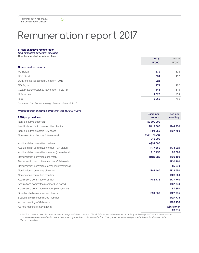#### 5. Non-executive remuneration

*Non-executive directors' fees paid* Directors' and other related fees

|                                                            | 2017<br><b>R'000</b> | $2016*$<br>R'000 |
|------------------------------------------------------------|----------------------|------------------|
| Non-executive director                                     |                      |                  |
| PC Baloyi                                                  | 572                  | 106              |
| <b>DDB</b> Band                                            | 634                  | 180              |
| DD Mokgatle (appointed October 4 2016)                     | 226                  | -                |
| NG Payne                                                   | 771                  | 120              |
| CWL Phalatse (resigned November 11 2016)                   | 141                  | 115              |
| H Wiseman                                                  | 1625                 | 264              |
| Total                                                      | 3 9 6 9              | 785              |
| * Non-executive directors were appointed on March 10 2016. |                      |                  |

#### *Proposed non-executive directors' fees for 2017/2018*

| <u>I TODOSCO HOIFEACCOUTE OIIECIOIS TEES IOI ZUTTIZUTU</u> |                           |                       |
|------------------------------------------------------------|---------------------------|-----------------------|
| 2018 proposed fees                                         | <b>Basic per</b><br>annum | Fee per<br>meeting    |
| Non-executive chairman*                                    | R <sub>2</sub> 800 000    |                       |
| Lead independent non-executive director                    | R112 360                  | R44 950               |
| Non-executive directors (SA-based)                         | R94 350                   | R37 750               |
| Non-executive directors (international)                    | A\$72 100 OR<br>£43 200   |                       |
| Audit and risk committee chairman                          | A\$31 000                 |                       |
| Audit and risk committee member (SA-based)                 | R77850                    | R33 920               |
| Audit and risk committee member (international)            | £15 150                   | £6 600                |
| Remuneration committee chairman                            | R125820                   | R30 100               |
| Remuneration committee member (SA-based)                   |                           | R30 100               |
| Remuneration committee member (international)              |                           | £5 870                |
| Nominations committee chairman                             | R81 460                   | R <sub>28</sub> 550   |
| Nominations committee member                               |                           | R <sub>28</sub> 550   |
| Acquisitions committee chairman                            | R88 775                   | R37 740               |
| Acquisitions committee member (SA-based)                   |                           | R37 740               |
| Acquisitions committee member (international)              |                           | £7 350                |
| Social and ethics committee chairman                       | R94 350                   | R <sub>27</sub> 775   |
| Social and ethics committee member                         |                           | R <sub>27</sub> 775   |
| Ad hoc meetings (SA-based)                                 |                           | R <sub>20</sub> 150   |
| Ad hoc meetings (international)                            |                           | A\$6 540 or<br>£3 915 |

*\* In 2016, a non-executive chairman fee was not proposed due to the role of Mr B Joffe as executive chairman. In arriving at the proposed fee, the remuneration*  committee has given consideration to the benchmarking exercise conducted by PwC and the special demands arising from the international nature of the *Bidcorp operations.*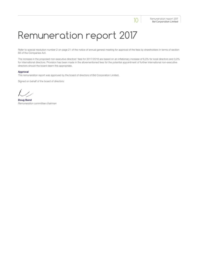Refer to special resolution number 2 on page 21 of the notice of annual general meeting for approval of the fees by shareholders in terms of section 66 of the Companies Act.

The increase in the proposed non-executive directors' fees for 2017/2018 are based on an inflationary increase of 6,0% for local directors and 3,0% for international directors. Provision has been made in the aforementioned fees for the potential appointment of further international non-executive directors should the board deem this appropriate.

#### Approval

This remuneration report was approved by the board of directors of Bid Corporation Limited.

Signed on behalf of the board of directors:

Doug Band *Remuneration committee chairman*